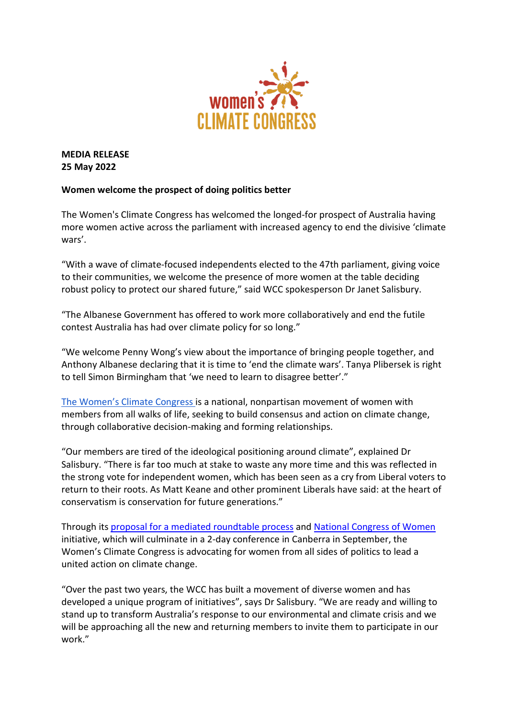

**MEDIA RELEASE 25 May 2022**

## **Women welcome the prospect of doing politics better**

The Women's Climate Congress has welcomed the longed-for prospect of Australia having more women active across the parliament with increased agency to end the divisive 'climate wars'.

"With a wave of climate-focused independents elected to the 47th parliament, giving voice to their communities, we welcome the presence of more women at the table deciding robust policy to protect our shared future," said WCC spokesperson Dr Janet Salisbury.

"The Albanese Government has offered to work more collaboratively and end the futile contest Australia has had over climate policy for so long."

"We welcome Penny Wong's view about the importance of bringing people together, and Anthony Albanese declaring that it is time to 'end the climate wars'. Tanya Plibersek is right to tell Simon Birmingham that 'we need to learn to disagree better'."

[The Women's Climate Congress i](mailto:womensclimatecongress@gmail.com)s a national, nonpartisan movement of women with members from all walks of life, seeking to build consensus and action on climate change, through collaborative decision-making and forming relationships.

"Our members are tired of the ideological positioning around climate", explained Dr Salisbury. "There is far too much at stake to waste any more time and this was reflected in the strong vote for independent women, which has been seen as a cry from Liberal voters to return to their roots. As Matt Keane and other prominent Liberals have said: at the heart of conservatism is conservation for future generations."

Through its [proposal for a mediated roundtable process](https://www.womensclimatecongress.com/uploads/3/0/2/0/30206683/wcc_mediation_proposal-01_23nov2020_.pdf) and [National Congress of Women](http://www.nationalcongressofwomen.com/) initiative, which will culminate in a 2-day conference in Canberra in September, the Women's Climate Congress is advocating for women from all sides of politics to lead a united action on climate change.

"Over the past two years, the WCC has built a movement of diverse women and has developed a unique program of initiatives", says Dr Salisbury. "We are ready and willing to stand up to transform Australia's response to our environmental and climate crisis and we will be approaching all the new and returning members to invite them to participate in our work."